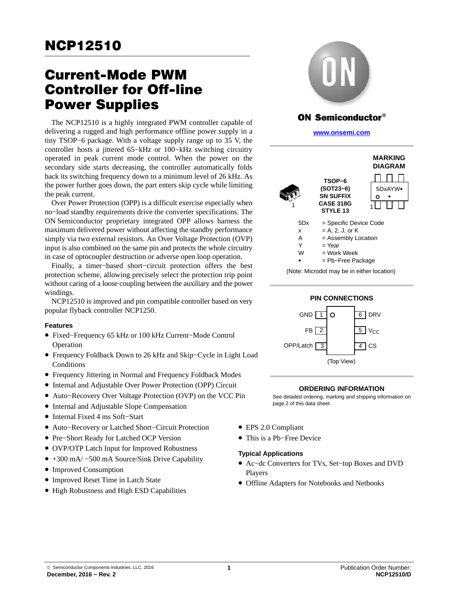# Current-Mode PWM Controller for Off-line Power Supplies

The NCP12510 is a highly integrated PWM controller capable of delivering a rugged and high performance offline power supply in a tiny TSOP−6 package. With a voltage supply range up to 35 V, the controller hosts a jittered 65−kHz or 100−kHz switching circuitry operated in peak current mode control. When the power on the secondary side starts decreasing, the controller automatically folds back its switching frequency down to a minimum level of 26 kHz. As the power further goes down, the part enters skip cycle while limiting the peak current.

Over Power Protection (OPP) is a difficult exercise especially when no−load standby requirements drive the converter specifications. The ON Semiconductor proprietary integrated OPP allows harness the maximum delivered power without affecting the standby performance simply via two external resistors. An Over Voltage Protection (OVP) input is also combined on the same pin and protects the whole circuitry in case of optocoupler destruction or adverse open loop operation.

Finally, a timer−based short−circuit protection offers the best protection scheme, allowing precisely select the protection trip point without caring of a loose coupling between the auxiliary and the power windings.

NCP12510 is improved and pin compatible controller based on very popular flyback controller NCP1250.

### **Features**

- Fixed−Frequency 65 kHz or 100 kHz Current−Mode Control Operation
- Frequency Foldback Down to 26 kHz and Skip−Cycle in Light Load **Conditions**
- Frequency Jittering in Normal and Frequency Foldback Modes
- Internal and Adjustable Over Power Protection (OPP) Circuit
- Auto−Recovery Over Voltage Protection (OVP) on the VCC Pin
- Internal and Adjustable Slope Compensation
- Internal Fixed 4 ms Soft−Start
- Auto−Recovery or Latched Short−Circuit Protection
- Pre−Short Ready for Latched OCP Version
- OVP/OTP Latch Input for Improved Robustness
- +300 mA/ −500 mA Source/Sink Drive Capability
- Improved Consumption
- Improved Reset Time in Latch State
- High Robustness and High ESD Capabilities



# **ON Semiconductor®**

**[www.onsemi.com]( http://www.onsemi.com/)**





### **ORDERING INFORMATION**

See detailed ordering, marking and shipping information on page [2](#page-1-0) of this data sheet.

- EPS 2.0 Compliant
- This is a Pb−Free Device

### **Typical Applications**

- Ac−dc Converters for TVs, Set−top Boxes and DVD Players
- Offline Adapters for Notebooks and Netbooks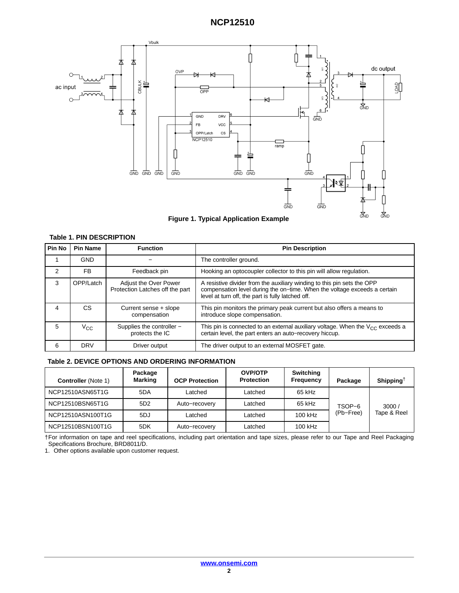<span id="page-1-0"></span>

#### **Table 1. PIN DESCRIPTION**

| Pin No         | <b>Pin Name</b> | <b>Function</b>                                          | <b>Pin Description</b>                                                                                                                                                                                    |  |  |
|----------------|-----------------|----------------------------------------------------------|-----------------------------------------------------------------------------------------------------------------------------------------------------------------------------------------------------------|--|--|
|                | <b>GND</b>      |                                                          | The controller ground.                                                                                                                                                                                    |  |  |
| 2              | <b>FB</b>       | Feedback pin                                             | Hooking an optocoupler collector to this pin will allow regulation.                                                                                                                                       |  |  |
| 3              | OPP/Latch       | Adjust the Over Power<br>Protection Latches off the part | A resistive divider from the auxiliary winding to this pin sets the OPP<br>compensation level during the on-time. When the voltage exceeds a certain<br>level at turn off, the part is fully latched off. |  |  |
| 4              | СS              | Current sense + slope<br>compensation                    | This pin monitors the primary peak current but also offers a means to<br>introduce slope compensation.                                                                                                    |  |  |
| $\overline{5}$ | $V_{\rm CC}$    | Supplies the controller -<br>protects the IC             | This pin is connected to an external auxiliary voltage. When the $V_{CC}$ exceeds a<br>certain level, the part enters an auto-recovery hiccup.                                                            |  |  |
| 6              | <b>DRV</b>      | Driver output                                            | The driver output to an external MOSFET gate.                                                                                                                                                             |  |  |

#### **Table 2. DEVICE OPTIONS AND ORDERING INFORMATION**

| <b>Controller</b> (Note 1) | Package<br><b>Marking</b> | <b>OCP Protection</b> | <b>OVP/OTP</b><br><b>Protection</b> | Switching<br>Frequency | Package   | Shipping <sup>†</sup> |
|----------------------------|---------------------------|-----------------------|-------------------------------------|------------------------|-----------|-----------------------|
| NCP12510ASN65T1G           | 5DA                       | Latched               | Latched                             | 65 kHz                 |           |                       |
| NCP12510BSN65T1G           | 5D <sub>2</sub>           | Auto-recovery         | Latched                             | 65 kHz                 | TSOP-6    | 3000/                 |
| NCP12510ASN100T1G          | 5DJ                       | Latched               | Latched                             | 100 kHz                | (Pb-Free) | Tape & Reel           |
| NCP12510BSN100T1G          | 5DK                       | Auto-recovery         | Latched                             | 100 kHz                |           |                       |

†For information on tape and reel specifications, including part orientation and tape sizes, please refer to our Tape and Reel Packaging Specifications Brochure, BRD8011/D.

1. Other options available upon customer request.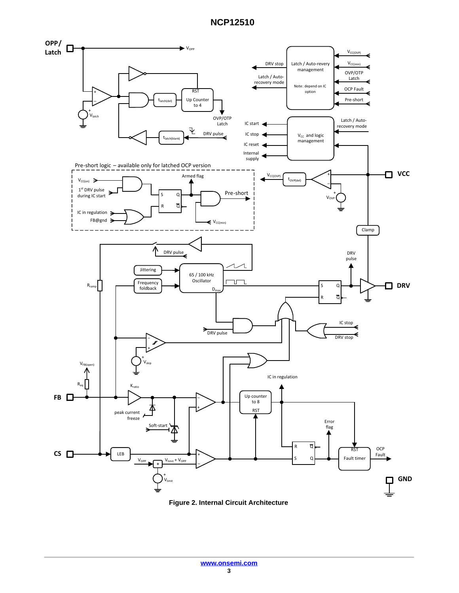

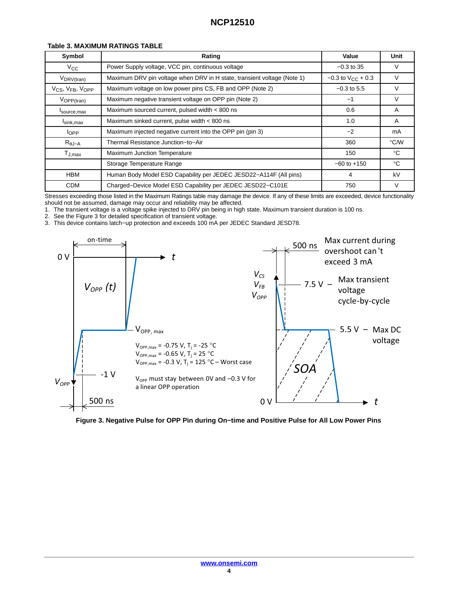| Symbol                                               | Rating                                                                  | Value                        | Unit          |
|------------------------------------------------------|-------------------------------------------------------------------------|------------------------------|---------------|
| $V_{\rm CC}$                                         | Power Supply voltage, VCC pin, continuous voltage                       | $-0.3$ to 35                 | V             |
| $V_{DRV(tran)}$                                      | Maximum DRV pin voltage when DRV in H state, transient voltage (Note 1) | $-0.3$ to $V_{\rm CC}$ + 0.3 | v             |
| V <sub>CS</sub> , V <sub>FB</sub> , V <sub>OPP</sub> | Maximum voltage on low power pins CS, FB and OPP (Note 2)               | $-0.3$ to 5.5                | V             |
| $V_{\rm OPP (tran)}$                                 | Maximum negative transient voltage on OPP pin (Note 2)                  | $-1$                         | V             |
| Isource, max                                         | Maximum sourced current, pulsed width < 800 ns                          | 0.6                          | A             |
| $I_{\text{sink,max}}$                                | Maximum sinked current, pulse width < 800 ns                            | 1.0                          | A             |
| $I_{OPP}$                                            | Maximum injected negative current into the OPP pin (pin 3)              | $-2$                         | mA            |
| $R_{\theta J-A}$                                     | Thermal Resistance Junction-to-Air                                      | 360                          | $\degree$ C/W |
| $T_{J,max}$                                          | <b>Maximum Junction Temperature</b>                                     | 150                          | $^{\circ}$ C  |
|                                                      | Storage Temperature Range                                               | $-60$ to $+150$              | $^{\circ}$ C  |
| <b>HBM</b>                                           | Human Body Model ESD Capability per JEDEC JESD22-A114F (All pins)       | 4                            | kV            |
| <b>CDM</b>                                           | Charged-Device Model ESD Capability per JEDEC JESD22-C101E              | 750                          | V             |

#### **Table 3. MAXIMUM RATINGS TABLE**

Stresses exceeding those listed in the Maximum Ratings table may damage the device. If any of these limits are exceeded, device functionality should not be assumed, damage may occur and reliability may be affected.

1. The transient voltage is a voltage spike injected to DRV pin being in high state. Maximum transient duration is 100 ns.

2. See the Figure 3 for detailed specification of transient voltage.

3. This device contains latch−up protection and exceeds 100 mA per JEDEC Standard JESD78.



**Figure 3. Negative Pulse for OPP Pin during On−time and Positive Pulse for All Low Power Pins**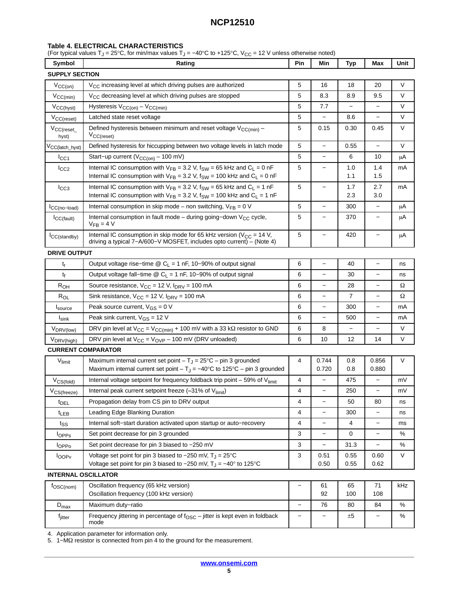### <span id="page-4-0"></span>**Table 4. ELECTRICAL CHARACTERISTICS**

(For typical values T<sub>J</sub> = 25°C, for min/max values T<sub>J</sub> = -40°C to +125°C, V<sub>CC</sub> = 12 V unless otherwise noted)

| Symbol                       | Rating                                                                                                                                                                  | Pin               | Min                      | Typ                      | Max                      | Unit   |
|------------------------------|-------------------------------------------------------------------------------------------------------------------------------------------------------------------------|-------------------|--------------------------|--------------------------|--------------------------|--------|
| <b>SUPPLY SECTION</b>        |                                                                                                                                                                         |                   |                          |                          |                          |        |
| $V_{CC(on)}$                 | $V_{CC}$ increasing level at which driving pulses are authorized                                                                                                        | 5                 | 16                       | 18                       | 20                       | V      |
| $V_{CC(min)}$                | V <sub>CC</sub> decreasing level at which driving pulses are stopped                                                                                                    |                   | 8.3                      | 8.9                      | 9.5                      | $\vee$ |
| $V_{CC(hyst)}$               | Hysteresis $V_{CC(on)} - V_{CC(min)}$                                                                                                                                   |                   | 7.7                      |                          |                          | V      |
| $V_{CC(reset)}$              | Latched state reset voltage                                                                                                                                             | 5                 |                          | 8.6                      | $\overline{\phantom{0}}$ | V      |
| $V_{CC(reset_{-}}$<br>hyst)  | Defined hysteresis between minimum and reset voltage V <sub>CC(min)</sub> -<br>$V_{CC(reset)}$                                                                          | 5                 | 0.15                     | 0.30                     | 0.45                     | $\vee$ |
| V <sub>CC</sub> (latch_hyst) | Defined hysteresis for hiccupping between two voltage levels in latch mode                                                                                              | 5                 | $\overline{\phantom{0}}$ | 0.55                     | $\overline{a}$           | V      |
| $I_{\rm CC1}$                | Start-up current ( $V_{CC(on)}$ - 100 mV)                                                                                                                               | 5                 | $\overline{\phantom{0}}$ | 6                        | 10                       | μA     |
| $I_{CC2}$                    | Internal IC consumption with $V_{FB} = 3.2$ V, $f_{SW} = 65$ kHz and $C_L = 0$ nF<br>Internal IC consumption with $V_{FB} = 3.2$ V, $f_{SW} = 100$ kHz and $C_L = 0$ nF | 5                 | $\overline{\phantom{0}}$ | 1.0<br>1.1               | 1.4<br>1.5               | mA     |
| $I_{CC3}$                    | Internal IC consumption with $V_{FB} = 3.2$ V, $f_{SW} = 65$ kHz and $C_L = 1$ nF<br>Internal IC consumption with $V_{FB} = 3.2$ V, $f_{SW} = 100$ kHz and $C_L = 1$ nF | 5                 | $\overline{\phantom{0}}$ | 1.7<br>2.3               | 2.7<br>3.0               | mA     |
| CC(no-load)                  | Internal consumption in skip mode – non switching, $V_{FB} = 0$ V                                                                                                       | 5                 | $\overline{\phantom{0}}$ | 300                      | $\overline{\phantom{0}}$ | μA     |
| ICC(fault)                   | Internal consumption in fault mode – during going–down $V_{CC}$ cycle,<br>$V_{FR} = 4 V$                                                                                | 5                 | $\qquad \qquad -$        | 370                      | $\overline{\phantom{0}}$ | μA     |
| ICC(standby)                 | Internal IC consumption in skip mode for 65 kHz version ( $V_{CC}$ = 14 V,<br>driving a typical 7-A/600-V MOSFET, includes opto current) - (Note 4)                     | 5                 | $\overline{\phantom{0}}$ | 420                      | $\overline{\phantom{0}}$ | μA     |
| <b>DRIVE OUTPUT</b>          |                                                                                                                                                                         |                   |                          |                          |                          |        |
| $t_{r}$                      | Output voltage rise-time $\circledR$ C <sub>L</sub> = 1 nF, 10-90% of output signal                                                                                     | 6                 | $\overline{\phantom{0}}$ | 40                       | $\overline{a}$           | ns     |
| t <sub>f</sub>               | Output voltage fall–time $\textcircled{2}$ C <sub>L</sub> = 1 nF, 10–90% of output signal                                                                               | 6                 | $\overline{\phantom{0}}$ | 30                       | $\overline{\phantom{0}}$ | ns     |
| $R_{OH}$                     | Source resistance, $V_{CC}$ = 12 V, $I_{DRV}$ = 100 mA                                                                                                                  | 6                 |                          | 28                       | $\overline{\phantom{0}}$ | Ω      |
| $R_{OL}$                     | Sink resistance, $V_{CC}$ = 12 V, $I_{DRV}$ = 100 mA                                                                                                                    | 6                 |                          | 7                        | $\overline{\phantom{0}}$ | Ω      |
| $I_{\text{source}}$          | Peak source current, $V_{GS} = 0 V$                                                                                                                                     | 6                 | $\overline{\phantom{0}}$ | 300                      | $\overline{\phantom{0}}$ | mA     |
| $I_{\text{sink}}$            | Peak sink current, $V_{GS} = 12 V$                                                                                                                                      | 6                 | $\overline{\phantom{0}}$ | 500                      | $\overline{\phantom{0}}$ | mA     |
| V <sub>DRV(low)</sub>        | DRV pin level at $V_{CC} = V_{CC(min)} + 100$ mV with a 33 k $\Omega$ resistor to GND                                                                                   | 6                 | 8                        | $\overline{\phantom{a}}$ | $\overline{\phantom{0}}$ | V      |
| V <sub>DRV(high)</sub>       | DRV pin level at $V_{CC} = V_{OVP} - 100$ mV (DRV unloaded)                                                                                                             | 6                 | 10                       | 12                       | 14                       | $\vee$ |
|                              | <b>CURRENT COMPARATOR</b>                                                                                                                                               |                   |                          |                          |                          |        |
| $V_{limit}$                  | Maximum internal current set point $-T_J = 25^{\circ}C - \text{pin 3 grounded}$<br>Maximum internal current set point $-T_J = -40^{\circ}C$ to 125°C – pin 3 grounded   | 4                 | 0.744<br>0.720           | 0.8<br>0.8               | 0.856<br>0.880           | V      |
| $V_{CS(fold)}$               | Internal voltage setpoint for frequency foldback trip point $-59\%$ of V <sub>limit</sub>                                                                               | 4                 | $\overline{\phantom{0}}$ | 475                      | $\overline{\phantom{0}}$ | mV     |
| $V_{CS(freeze)}$             | Internal peak current setpoint freeze (=31% of Vlimit)                                                                                                                  | 4                 | —                        | 250                      | —                        | mV     |
| <b>t</b> <sub>DEL</sub>      | Propagation delay from CS pin to DRV output                                                                                                                             | 4                 | $\overline{\phantom{0}}$ | 50                       | 80                       | ns     |
| t <sub>LEB</sub>             | Leading Edge Blanking Duration                                                                                                                                          | 4                 | $\qquad \qquad -$        | 300                      |                          | ns     |
| $t_{SS}$                     | Internal soft-start duration activated upon startup or auto-recovery                                                                                                    | 4                 | $\qquad \qquad -$        | 4                        | -                        | ms     |
| lopps                        | Set point decrease for pin 3 grounded                                                                                                                                   | 3                 |                          | 0                        |                          | %      |
| <b>I</b> OPP <sub>0</sub>    | Set point decrease for pin 3 biased to -250 mV                                                                                                                          | 3                 | —                        | 31.3                     |                          | %      |
| <b>l</b> OOP <sub>V</sub>    | Voltage set point for pin 3 biased to $-250$ mV, $T_J = 25^{\circ}C$<br>Voltage set point for pin 3 biased to -250 mV, $T_J = -40^\circ$ to 125°C                       | 3                 | 0.51<br>0.50             | 0.55<br>0.55             | 0.60<br>0.62             | V      |
| <b>INTERNAL OSCILLATOR</b>   |                                                                                                                                                                         |                   |                          |                          |                          |        |
| $f$ OSC(nom)                 | Oscillation frequency (65 kHz version)<br>Oscillation frequency (100 kHz version)                                                                                       | -                 | 61<br>92                 | 65<br>100                | 71<br>108                | kHz    |
| $D_{\text{max}}$             | Maximum duty-ratio                                                                                                                                                      | $\qquad \qquad -$ | 76                       | 80                       | 84                       | %      |
| f <sub>jitter</sub>          | Frequency jittering in percentage of $f_{\rm OSC}$ – jitter is kept even in foldback<br>mode                                                                            | -                 | -                        | ±5                       |                          | $\%$   |

[4](#page-5-0). Application parameter for information only.

[5](#page-5-0). 1–MΩ resistor is connected from pin 4 to the ground for the measurement.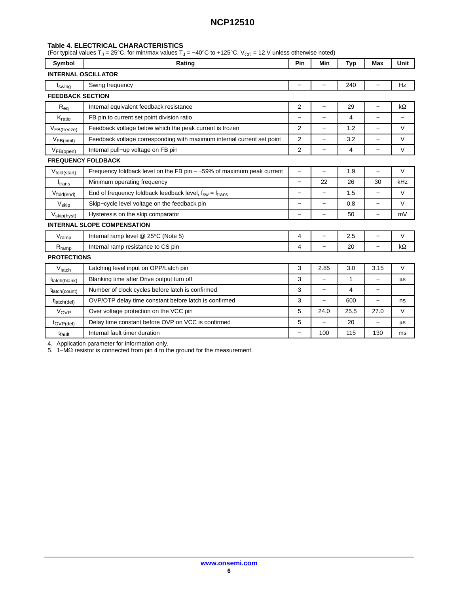#### <span id="page-5-0"></span>**Table [4.](#page-4-0) ELECTRICAL CHARACTERISTICS**

(For typical values T<sub>J</sub> = 25°C, for min/max values T<sub>J</sub> = –40°C to +125°C, V<sub>CC</sub> = 12 V unless otherwise noted)

| Symbol                     | Rating                                                                        | Pin                      | Min                      | Typ            | Max                      | Unit                     |  |  |
|----------------------------|-------------------------------------------------------------------------------|--------------------------|--------------------------|----------------|--------------------------|--------------------------|--|--|
| <b>INTERNAL OSCILLATOR</b> |                                                                               |                          |                          |                |                          |                          |  |  |
| f <sub>swing</sub>         | Swing frequency                                                               |                          |                          | 240            |                          | Hz                       |  |  |
|                            | <b>FEEDBACK SECTION</b>                                                       |                          |                          |                |                          |                          |  |  |
| $R_{eq}$                   | Internal equivalent feedback resistance                                       | $\overline{2}$           | $\overline{\phantom{0}}$ | 29             | $\qquad \qquad -$        | $k\Omega$                |  |  |
| $K_{ratio}$                | FB pin to current set point division ratio                                    | $\overline{a}$           | $\overline{\phantom{0}}$ | $\overline{4}$ | $\equiv$                 | $\overline{\phantom{0}}$ |  |  |
| $V_{FB(freeze)}$           | Feedback voltage below which the peak current is frozen                       | 2                        | $\overline{\phantom{0}}$ | 1.2            | $\qquad \qquad -$        | V                        |  |  |
| $V_{FB(limit)}$            | Feedback voltage corresponding with maximum internal current set point        | 2                        | -                        | 3.2            | $\qquad \qquad -$        | V                        |  |  |
| $V_{FB(open)}$             | Internal pull-up voltage on FB pin                                            | 2                        | -                        | $\overline{4}$ | $\overline{\phantom{0}}$ | V                        |  |  |
|                            | <b>FREQUENCY FOLDBACK</b>                                                     |                          |                          |                |                          |                          |  |  |
| Vfold(start)               | Frequency foldback level on the FB pin $-\approx$ 59% of maximum peak current | $\overline{\phantom{0}}$ | $\overline{\phantom{0}}$ | 1.9            | $\qquad \qquad -$        | $\vee$                   |  |  |
| $f_{trans}$                | Minimum operating frequency                                                   | $\overline{\phantom{0}}$ | 22                       | 26             | 30                       | kHz                      |  |  |
| $V_{fold(end)}$            | End of frequency foldback feedback level, $f_{sw} = f_{trans}$                | $\overline{\phantom{0}}$ | $\overline{\phantom{0}}$ | 1.5            | $\overline{\phantom{0}}$ | V                        |  |  |
| $V_{\text{skip}}$          | Skip-cycle level voltage on the feedback pin                                  | $\overline{\phantom{0}}$ | $\overline{\phantom{0}}$ | 0.8            |                          | $\vee$                   |  |  |
| V <sub>skip(hyst)</sub>    | Hysteresis on the skip comparator                                             | $\overline{\phantom{0}}$ | $\overline{\phantom{0}}$ | 50             | $\qquad \qquad -$        | mV                       |  |  |
|                            | <b>INTERNAL SLOPE COMPENSATION</b>                                            |                          |                          |                |                          |                          |  |  |
| V <sub>ramp</sub>          | Internal ramp level @ 25°C (Note 5)                                           | 4                        | $\overline{\phantom{0}}$ | 2.5            | $\overline{\phantom{0}}$ | $\vee$                   |  |  |
| $R_{ramp}$                 | Internal ramp resistance to CS pin                                            | 4                        | $\overline{\phantom{0}}$ | 20             | $\qquad \qquad -$        | kΩ                       |  |  |
| <b>PROTECTIONS</b>         |                                                                               |                          |                          |                |                          |                          |  |  |
| Vlatch                     | Latching level input on OPP/Latch pin                                         | 3                        | 2.85                     | 3.0            | 3.15                     | V                        |  |  |
| t <sub>latch</sub> (blank) | Blanking time after Drive output turn off                                     | 3                        |                          | 1              |                          | μs                       |  |  |
| t <sub>latch</sub> (count) | Number of clock cycles before latch is confirmed                              | 3                        |                          | $\overline{4}$ | $\overline{\phantom{0}}$ |                          |  |  |
| t <sub>latch</sub> (del)   | OVP/OTP delay time constant before latch is confirmed                         | 3                        | $\overline{\phantom{0}}$ | 600            | $\overline{\phantom{0}}$ | ns                       |  |  |
| Vove                       | Over voltage protection on the VCC pin                                        | 5                        | 24.0                     | 25.5           | 27.0                     | V                        |  |  |
| $t_{OVP(del)}$             | Delay time constant before OVP on VCC is confirmed                            | 5                        | $\overline{\phantom{0}}$ | 20             | $\qquad \qquad -$        | μs                       |  |  |
| t <sub>fault</sub>         | Internal fault timer duration                                                 |                          | 100                      | 115            | 130                      | ms                       |  |  |

4. Application parameter for information only.

5. 1–MΩ resistor is connected from pin 4 to the ground for the measurement.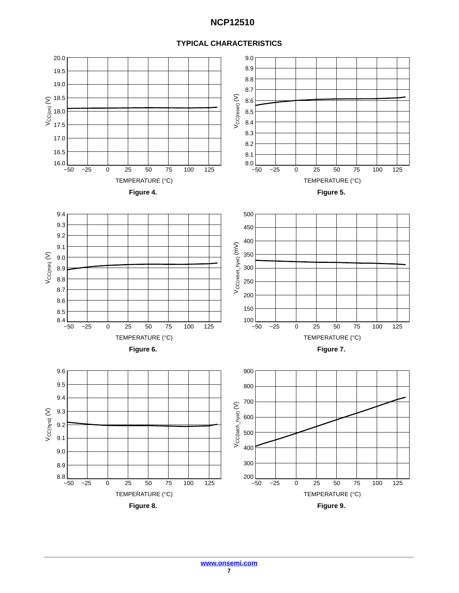

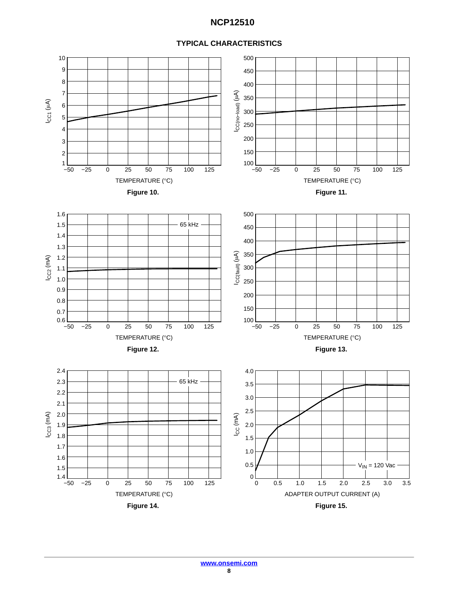

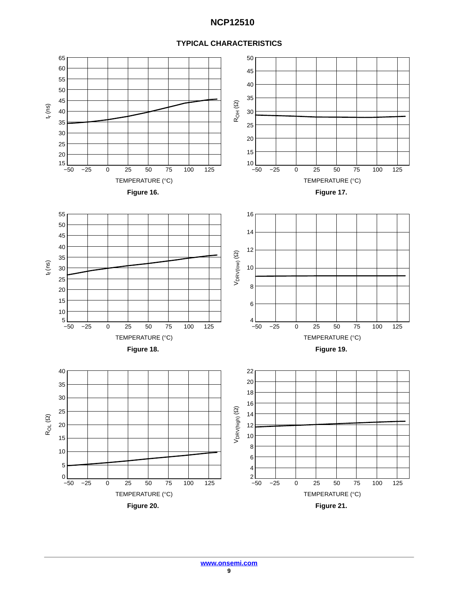### **TYPICAL CHARACTERISTICS**

![](_page_8_Figure_2.jpeg)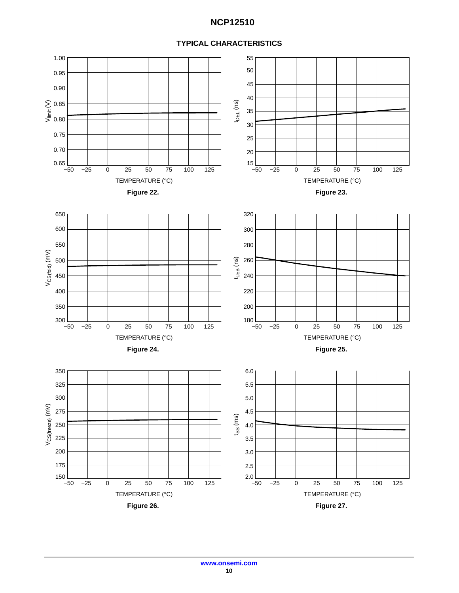![](_page_9_Figure_1.jpeg)

![](_page_9_Figure_2.jpeg)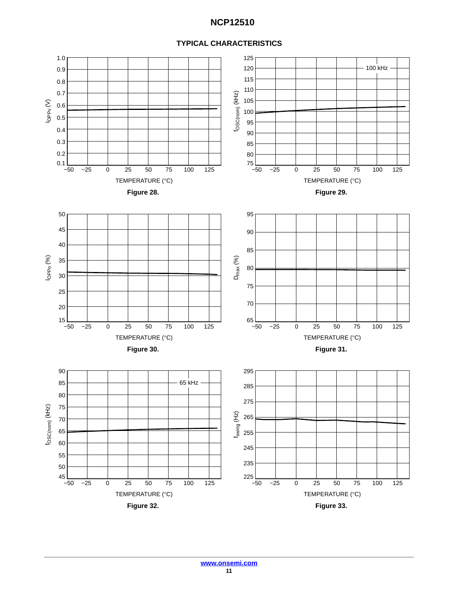![](_page_10_Figure_1.jpeg)

### **TYPICAL CHARACTERISTICS**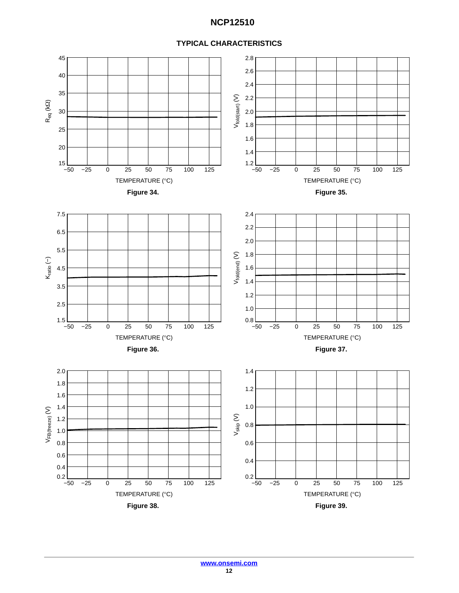#### 45 2.8 2.6 40 2.4 35  $V_{\text{fold}(\text{start})}(V)$ 2.2  $V_{\mathsf{fold}(\mathsf{start})} \left( \mathsf{V} \right)$ ପି Req (k 30 2.0 1.8 25 1.6 20 1.4  $15$   $-50$  $1.2$   $-50$ −50 −25 0 25 50 75 100 125 −50 −25 0 25 50 75 100 125 TEMPERATURE (°C)  $\qquad \qquad$ TEMPERATURE (°C) **Figure 34. Figure 35.**  7.5 2.4 2.2 6.5 2.0 5.5 Vfold(end) (V) 1.8 Kratio (−) 1.6 4.5 1.4 3.5 1.2 2.5 1.0  $1.5$   $-50$  $0.8$   $-50$ −50 −25 0 25 50 75 100 125 −50 −25 0 25 50 75 100 125 TEMPERATURE (°C)  $\blacksquare$  TEMPERATURE (°C) **Figure 36. Figure 37.**  2.0 1.4 1.8 1.2 1.6 1.0 1.4  $V_{\mathsf{FB(freeze)}}$  (V) VFB(freeze) (V) Vskip (V) 1.20.8 1.0 0.8 0.6 0.6 0.4 0.4  $0.2$   $-50$  $0.2$   $-50$ −50 −25 0 25 50 75 100 125 −50 −25 0 25 50 75 100 125 TEMPERATURE (°C)  $\blacksquare$  TEMPERATURE (°C) **Figure 38. Figure 39.**

### **TYPICAL CHARACTERISTICS**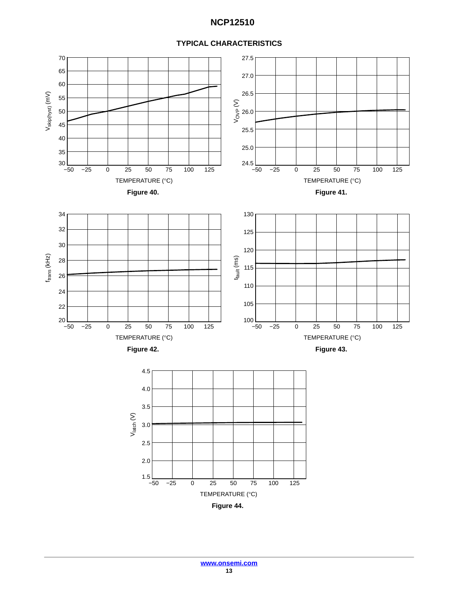![](_page_12_Figure_1.jpeg)

![](_page_12_Figure_2.jpeg)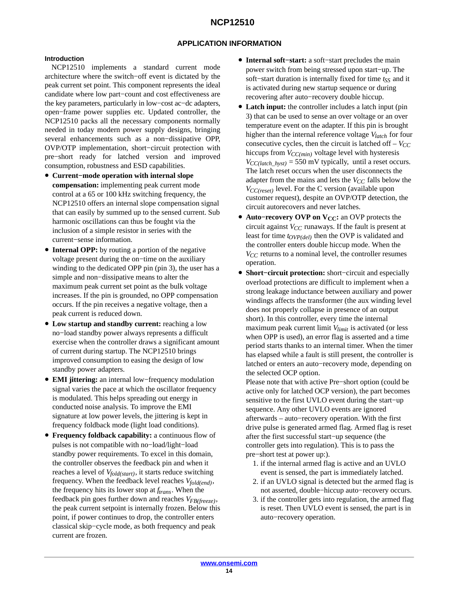### **APPLICATION INFORMATION**

#### **Introduction**

NCP12510 implements a standard current mode architecture where the switch−off event is dictated by the peak current set point. This component represents the ideal candidate where low part−count and cost effectiveness are the key parameters, particularly in low−cost ac−dc adapters, open−frame power supplies etc. Updated controller, the NCP12510 packs all the necessary components normally needed in today modern power supply designs, bringing several enhancements such as a non−dissipative OPP, OVP/OTP implementation, short−circuit protection with pre−short ready for latched version and improved consumption, robustness and ESD capabilities.

- **Current−mode operation with internal slope compensation:** implementing peak current mode control at a 65 or 100 kHz switching frequency, the NCP12510 offers an internal slope compensation signal that can easily by summed up to the sensed current. Sub harmonic oscillations can thus be fought via the inclusion of a simple resistor in series with the current−sense information.
- **Internal OPP:** by routing a portion of the negative voltage present during the on−time on the auxiliary winding to the dedicated OPP pin (pin 3), the user has a simple and non−dissipative means to alter the maximum peak current set point as the bulk voltage increases. If the pin is grounded, no OPP compensation occurs. If the pin receives a negative voltage, then a peak current is reduced down.
- **Low startup and standby current:** reaching a low no−load standby power always represents a difficult exercise when the controller draws a significant amount of current during startup. The NCP12510 brings improved consumption to easing the design of low standby power adapters.
- **EMI jittering:** an internal low−frequency modulation signal varies the pace at which the oscillator frequency is modulated. This helps spreading out energy in conducted noise analysis. To improve the EMI signature at low power levels, the jittering is kept in frequency foldback mode (light load conditions).
- **Frequency foldback capability:** a continuous flow of pulses is not compatible with no−load/light−load standby power requirements. To excel in this domain, the controller observes the feedback pin and when it reaches a level of *Vfold(start)*, it starts reduce switching frequency. When the feedback level reaches *Vfold(end)*, the frequency hits its lower stop at *ftrans*. When the feedback pin goes further down and reaches *VFB(freeze)*, the peak current setpoint is internally frozen. Below this point, if power continues to drop, the controller enters classical skip−cycle mode, as both frequency and peak current are frozen.
- **Internal soft−start:** a soft−start precludes the main power switch from being stressed upon start−up. The soft–start duration is internally fixed for time *t<sub>SS</sub>* and it is activated during new startup sequence or during recovering after auto−recovery double hiccup.
- **Latch input:** the controller includes a latch input (pin 3) that can be used to sense an over voltage or an over temperature event on the adapter. If this pin is brought higher than the internal reference voltage *Vlatch* for four consecutive cycles, then the circuit is latched of  $\bar{r} - V_{CC}$ hiccups from  $V_{CC(min)}$  voltage level with hysteresis  $V_{CC(latch\_hyst)} = 550$  mV typically, until a reset occurs. The latch reset occurs when the user disconnects the adapter from the mains and lets the  $V_{CC}$  falls below the *VCC(reset)* level. For the C version (available upon customer request), despite an OVP/OTP detection, the circuit autorecovers and never latches.
- **Auto−recovery OVP on VCC:** an OVP protects the circuit against  $V_{CC}$  runaways. If the fault is present at least for time *tOVP(del)* then the OVP is validated and the controller enters double hiccup mode. When the *V<sub>CC</sub>* returns to a nominal level, the controller resumes operation.
- **Short−circuit protection:** short−circuit and especially overload protections are difficult to implement when a strong leakage inductance between auxiliary and power windings affects the transformer (the aux winding level does not properly collapse in presence of an output short). In this controller, every time the internal maximum peak current limit *Vlimit* is activated (or less when OPP is used), an error flag is asserted and a time period starts thanks to an internal timer. When the timer has elapsed while a fault is still present, the controller is latched or enters an auto−recovery mode, depending on the selected OCP option.

Please note that with active Pre−short option (could be active only for latched OCP version), the part becomes sensitive to the first UVLO event during the start−up sequence. Any other UVLO events are ignored afterwards – auto−recovery operation. With the first drive pulse is generated armed flag. Armed flag is reset after the first successful start−up sequence (the controller gets into regulation). This is to pass the pre−short test at power up:).

- 1. if the internal armed flag is active and an UVLO event is sensed, the part is immediately latched.
- 2. if an UVLO signal is detected but the armed flag is not asserted, double−hiccup auto−recovery occurs.
- 3. if the controller gets into regulation, the armed flag is reset. Then UVLO event is sensed, the part is in auto−recovery operation.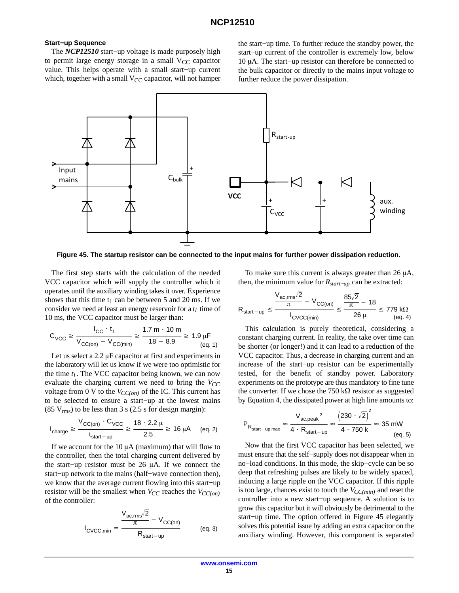#### **Start−up Sequence**

The *NCP12510* start−up voltage is made purposely high to permit large energy storage in a small  $V_{CC}$  capacitor value. This helps operate with a small start−up current which, together with a small  $V_{CC}$  capacitor, will not hamper the start−up time. To further reduce the standby power, the start−up current of the controller is extremely low, below 10 μA. The start–up resistor can therefore be connected to the bulk capacitor or directly to the mains input voltage to further reduce the power dissipation.

![](_page_14_Figure_4.jpeg)

**Figure 45. The startup resistor can be connected to the input mains for further power dissipation reduction.**

The first step starts with the calculation of the needed VCC capacitor which will supply the controller which it operates until the auxiliary winding takes it over. Experience shows that this time  $t_1$  can be between 5 and 20 ms. If we consider we need at least an energy reservoir for a  $t_1$  time of 10 ms, the VCC capacitor must be larger than:

$$
C_{\text{VCC}} \ge \frac{I_{\text{CC}} \cdot t_1}{V_{\text{CC}(on)} - V_{\text{CC}(min)}} \ge \frac{1.7 \text{ m} \cdot 10 \text{ m}}{18 - 8.9} \ge 1.9 \text{ }\mu\text{F}
$$
\n(eq. 1)

Let us select a  $2.2 \mu$ F capacitor at first and experiments in the laboratory will let us know if we were too optimistic for the time  $t_1$ . The VCC capacitor being known, we can now evaluate the charging current we need to bring the  $V_{CC}$ voltage from 0 V to the  $V_{CC(on)}$  of the IC. This current has to be selected to ensure a start−up at the lowest mains (85  $V_{\text{rms}}$ ) to be less than 3 s (2.5 s for design margin):

$$
I_{\text{charge}} \ge \frac{V_{\text{CC(on)}} \cdot C_{\text{VCC}}}{t_{\text{start-up}}} \ge \frac{18 \cdot 2.2 \,\mu}{2.5} \ge 16 \,\mu\text{A} \qquad \text{(eq. 2)}
$$

If we account for the  $10 \mu A$  (maximum) that will flow to the controller, then the total charging current delivered by the start–up resistor must be 26  $\mu$ A. If we connect the start−up network to the mains (half−wave connection then), we know that the average current flowing into this start−up resistor will be the smallest when  $V_{CC}$  reaches the  $V_{CC(on)}$ of the controller:

$$
I_{\text{CVCC,min}} = \frac{\frac{V_{\text{ac,rms}}\sqrt{2}}{\pi} - V_{\text{CC(on)}}}{R_{\text{start-up}}} \tag{eq. 3}
$$

To make sure this current is always greater than  $26 \mu A$ , then, the minimum value for *Rstart−up* can be extracted:

$$
R_{start-up} \le \frac{\frac{V_{ac,rms}\sqrt{2}}{\pi} - V_{CC(on)}}{I_{CVC(min)}} \le \frac{85\sqrt{2}}{\frac{\pi}{26 \mu}} - 18 \le 779 \text{ k}\Omega
$$
 (eq. 4)

This calculation is purely theoretical, considering a constant charging current. In reality, the take over time can be shorter (or longer!) and it can lead to a reduction of the VCC capacitor. Thus, a decrease in charging current and an increase of the start−up resistor can be experimentally tested, for the benefit of standby power. Laboratory experiments on the prototype are thus mandatory to fine tune the converter. If we chose the 750 k $\Omega$  resistor as suggested by Equation 4, the dissipated power at high line amounts to:

$$
P_{R_{start-up,max}} \approx \frac{V_{ac,peak}^2}{4 \cdot R_{start-up}} \approx \frac{\left(230 \cdot \sqrt{2}\right)^2}{4 \cdot 750 \text{ k}} \approx 35 \text{ mW}
$$
\n
$$
\text{(eq. 5)}
$$

Now that the first VCC capacitor has been selected, we must ensure that the self−supply does not disappear when in no−load conditions. In this mode, the skip−cycle can be so deep that refreshing pulses are likely to be widely spaced, inducing a large ripple on the VCC capacitor. If this ripple is too large, chances exist to touch the  $V_{CC(min)}$  and reset the controller into a new start−up sequence. A solution is to grow this capacitor but it will obviously be detrimental to the start−up time. The option offered in Figure 45 elegantly solves this potential issue by adding an extra capacitor on the auxiliary winding. However, this component is separated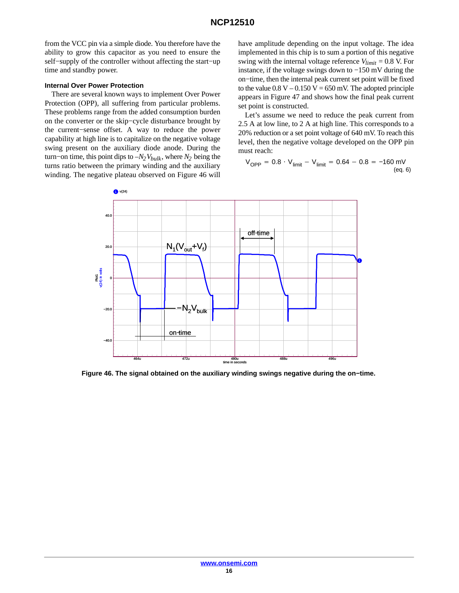from the VCC pin via a simple diode. You therefore have the ability to grow this capacitor as you need to ensure the self−supply of the controller without affecting the start−up time and standby power.

#### **Internal Over Power Protection**

There are several known ways to implement Over Power Protection (OPP), all suffering from particular problems. These problems range from the added consumption burden on the converter or the skip−cycle disturbance brought by the current−sense offset. A way to reduce the power capability at high line is to capitalize on the negative voltage swing present on the auxiliary diode anode. During the turn−on time, this point dips to *–N2Vbulk*, where *N2* being the turns ratio between the primary winding and the auxiliary winding. The negative plateau observed on Figure 46 will have amplitude depending on the input voltage. The idea implemented in this chip is to sum a portion of this negative swing with the internal voltage reference  $V_{limit} = 0.8$  V. For instance, if the voltage swings down to −150 mV during the on−time, then the internal peak current set point will be fixed to the value  $0.8 V - 0.150 V = 650$  mV. The adopted principle appears in Figure 47 and shows how the final peak current set point is constructed.

Let's assume we need to reduce the peak current from 2.5 A at low line, to 2 A at high line. This corresponds to a 20% reduction or a set point voltage of 640 mV. To reach this level, then the negative voltage developed on the OPP pin must reach:

$$
V_{OPP} = 0.8 \cdot V_{limit} - V_{limit} = 0.64 - 0.8 = -160 \text{ mV} \tag{eq. 6}
$$

![](_page_15_Figure_7.jpeg)

**Figure 46. The signal obtained on the auxiliary winding swings negative during the on−time.**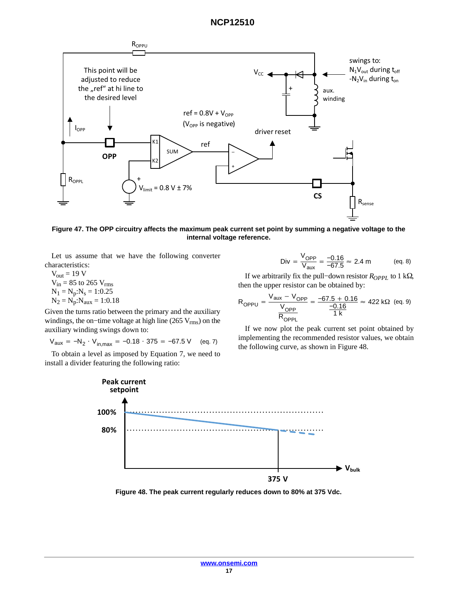![](_page_16_Figure_1.jpeg)

**Figure 47. The OPP circuitry affects the maximum peak current set point by summing a negative voltage to the internal voltage reference.**

Let us assume that we have the following converter characteristics:

 $V_{out} = 19 V$  $V_{in}$  = 85 to 265  $V_{rms}$  $N_1 = N_p:N_s = 1:0.25$  $N_2 = N_p : N_{aux} = 1:0.18$ 

Given the turns ratio between the primary and the auxiliary windings, the on–time voltage at high line (265 V<sub>rms</sub>) on the auxiliary winding swings down to:

$$
V_{\text{aux}} = -N_2 \cdot V_{\text{in,max}} = -0.18 \cdot 375 = -67.5 \text{ V} \quad \text{(eq. 7)}
$$

To obtain a level as imposed by Equation 7, we need to install a divider featuring the following ratio:

Div = 
$$
\frac{V_{OPP}}{V_{aux}} = \frac{-0.16}{-67.5} \approx 2.4 \text{ m}
$$
 (eq. 8)

If we arbitrarily fix the pull–down resistor  $R_{OPPL}$  to 1 k $\Omega$ , then the upper resistor can be obtained by:

$$
R_{OPPU} = \frac{V_{aux} - V_{OPP}}{V_{OPP}} = \frac{-67.5 + 0.16}{\frac{-0.16}{1 k}} \approx 422 k\Omega \text{ (eq. 9)}
$$

If we now plot the peak current set point obtained by implementing the recommended resistor values, we obtain the following curve, as shown in Figure 48.

![](_page_16_Figure_12.jpeg)

**Figure 48. The peak current regularly reduces down to 80% at 375 Vdc.**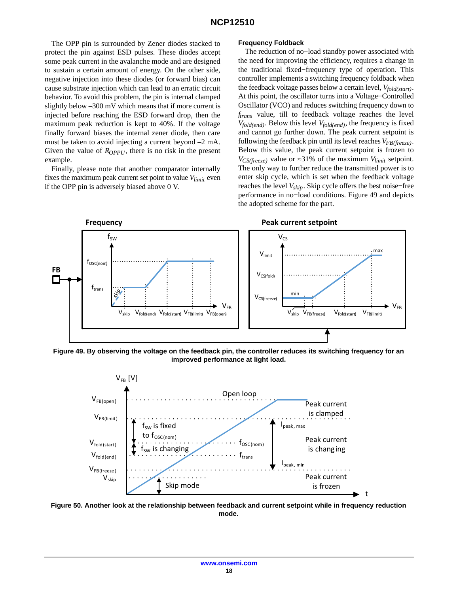The OPP pin is surrounded by Zener diodes stacked to protect the pin against ESD pulses. These diodes accept some peak current in the avalanche mode and are designed to sustain a certain amount of energy. On the other side, negative injection into these diodes (or forward bias) can cause substrate injection which can lead to an erratic circuit behavior. To avoid this problem, the pin is internal clamped slightly below –300 mV which means that if more current is injected before reaching the ESD forward drop, then the maximum peak reduction is kept to 40%. If the voltage finally forward biases the internal zener diode, then care must be taken to avoid injecting a current beyond –2 mA. Given the value of  $R_{OPPU}$ , there is no risk in the present example.

Finally, please note that another comparator internally fixes the maximum peak current set point to value *Vlimit* even if the OPP pin is adversely biased above 0 V.

#### **Frequency Foldback**

The reduction of no−load standby power associated with the need for improving the efficiency, requires a change in the traditional fixed−frequency type of operation. This controller implements a switching frequency foldback when the feedback voltage passes below a certain level, *Vfold(start)*. At this point, the oscillator turns into a Voltage−Controlled Oscillator (VCO) and reduces switching frequency down to *ftrans* value, till to feedback voltage reaches the level *Vfold(end)*. Below this level *Vfold(end)*, the frequency is fixed and cannot go further down. The peak current setpoint is following the feedback pin until its level reaches *VFB(freeze)*. Below this value, the peak current setpoint is frozen to *V<sub>CS(freeze)* value or ≈31% of the maximum *V*<sub>limit</sub> setpoint.</sub> The only way to further reduce the transmitted power is to enter skip cycle, which is set when the feedback voltage reaches the level *Vskip*. Skip cycle offers the best noise−free performance in no−load conditions. Figure 49 and depicts the adopted scheme for the part.

![](_page_17_Figure_5.jpeg)

**Figure 49. By observing the voltage on the feedback pin, the controller reduces its switching frequency for an improved performance at light load.**

![](_page_17_Figure_7.jpeg)

**Figure 50. Another look at the relationship between feedback and current setpoint while in frequency reduction mode.**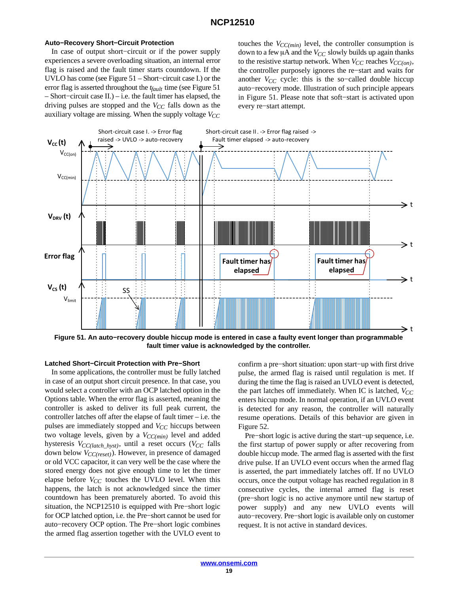#### **Auto−Recovery Short−Circuit Protection**

In case of output short−circuit or if the power supply experiences a severe overloading situation, an internal error flag is raised and the fault timer starts countdown. If the UVLO has come (see Figure 51 – Short−circuit case I.) or the error flag is asserted throughout the *tfault* time (see Figure 51 – Short−circuit case II.) – i.e. the fault timer has elapsed, the driving pulses are stopped and the  $V_{CC}$  falls down as the auxiliary voltage are missing. When the supply voltage  $V_{CC}$  touches the  $V_{CC(min)}$  level, the controller consumption is down to a few  $\mu$ A and the *V<sub>CC</sub>* slowly builds up again thanks to the resistive startup network. When  $V_{CC}$  reaches  $V_{CC(on)}$ , the controller purposely ignores the re−start and waits for another  $V_{CC}$  cycle: this is the so-called double hiccup auto−recovery mode. Illustration of such principle appears in Figure 51. Please note that soft−start is activated upon every re−start attempt.

![](_page_18_Figure_4.jpeg)

**Figure 51. An auto−recovery double hiccup mode is entered in case a faulty event longer than programmable fault timer value is acknowledged by the controller.**

#### **Latched Short−Circuit Protection with Pre−Short**

In some applications, the controller must be fully latched in case of an output short circuit presence. In that case, you would select a controller with an OCP latched option in the Options table. When the error flag is asserted, meaning the controller is asked to deliver its full peak current, the controller latches off after the elapse of fault timer – i.e. the pulses are immediately stopped and  $V_{CC}$  hiccups between two voltage levels, given by a  $V_{CC(min)}$  level and added hysteresis  $V_{CC(latch\_hyst)}$ , until a reset occurs ( $V_{CC}$  falls down below *V<sub>CC(reset)</sub>*). However, in presence of damaged or old VCC capacitor, it can very well be the case where the stored energy does not give enough time to let the timer elapse before  $V_{CC}$  touches the UVLO level. When this happens, the latch is not acknowledged since the timer countdown has been prematurely aborted. To avoid this situation, the NCP12510 is equipped with Pre−short logic for OCP latched option, i.e. the Pre−short cannot be used for auto−recovery OCP option. The Pre−short logic combines the armed flag assertion together with the UVLO event to

confirm a pre−short situation: upon start−up with first drive pulse, the armed flag is raised until regulation is met. If during the time the flag is raised an UVLO event is detected, the part latches off immediately. When IC is latched,  $V_{CC}$ enters hiccup mode. In normal operation, if an UVLO event is detected for any reason, the controller will naturally resume operations. Details of this behavior are given in Figure [52](#page-19-0).

Pre−short logic is active during the start−up sequence, i.e. the first startup of power supply or after recovering from double hiccup mode. The armed flag is asserted with the first drive pulse. If an UVLO event occurs when the armed flag is asserted, the part immediately latches off. If no UVLO occurs, once the output voltage has reached regulation in 8 consecutive cycles, the internal armed flag is reset (pre−short logic is no active anymore until new startup of power supply) and any new UVLO events will auto−recovery. Pre−short logic is available only on customer request. It is not active in standard devices.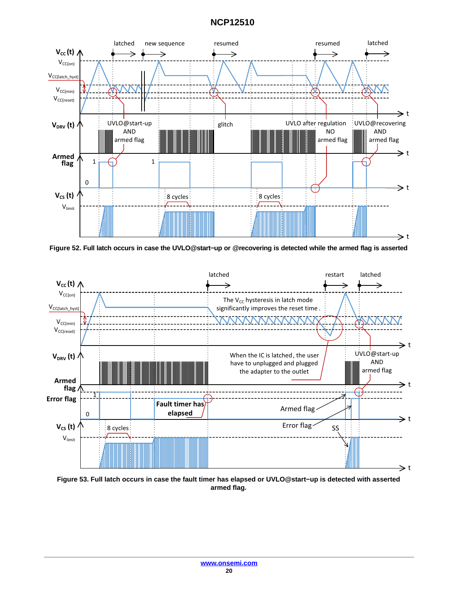<span id="page-19-0"></span>![](_page_19_Figure_1.jpeg)

**Figure 52. Full latch occurs in case the UVLO@start−up or @recovering is detected while the armed flag is asserted**

![](_page_19_Figure_3.jpeg)

**Figure 53. Full latch occurs in case the fault timer has elapsed or UVLO@start−up is detected with asserted armed flag.**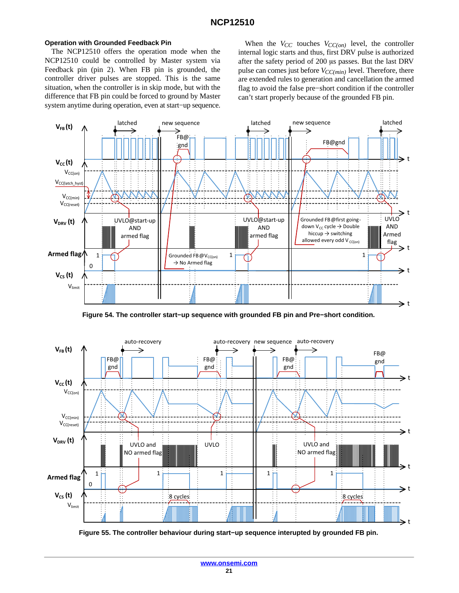#### <span id="page-20-0"></span>**Operation with Grounded Feedback Pin**

The NCP12510 offers the operation mode when the NCP12510 could be controlled by Master system via Feedback pin (pin 2). When FB pin is grounded, the controller driver pulses are stopped. This is the same situation, when the controller is in skip mode, but with the difference that FB pin could be forced to ground by Master system anytime during operation, even at start−up sequence.

When the  $V_{CC}$  touches  $V_{CC(on)}$  level, the controller internal logic starts and thus, first DRV pulse is authorized after the safety period of 200 µs passes. But the last DRV pulse can comes just before  $V_{CC(min)}$  level. Therefore, there are extended rules to generation and cancellation the armed flag to avoid the false pre−short condition if the controller can't start properly because of the grounded FB pin.

![](_page_20_Figure_4.jpeg)

**Figure 54. The controller start−up sequence with grounded FB pin and Pre−short condition.**

![](_page_20_Figure_6.jpeg)

**Figure 55. The controller behaviour during start−up sequence interupted by grounded FB pin.**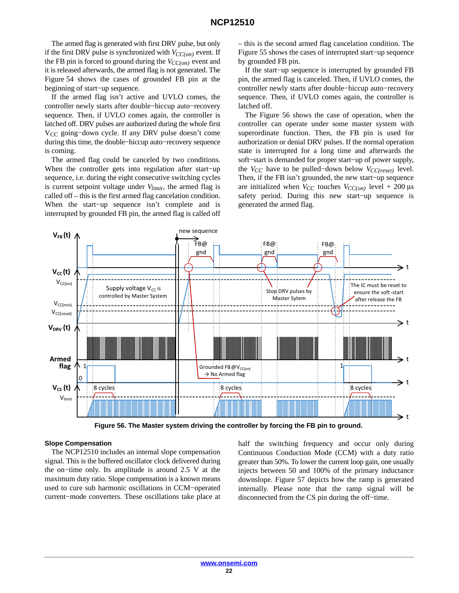The armed flag is generated with first DRV pulse, but only if the first DRV pulse is synchronized with  $V_{CC(on)}$  event. If the FB pin is forced to ground during the  $V_{CC(on)}$  event and it is released afterwards, the armed flag is not generated. The Figure [54](#page-20-0) shows the cases of grounded FB pin at the beginning of start−up sequence.

If the armed flag isn't active and UVLO comes, the controller newly starts after double−hiccup auto−recovery sequence. Then, if UVLO comes again, the controller is latched off. DRV pulses are authorized during the whole first V<sub>CC</sub> going-down cycle. If any DRV pulse doesn't come during this time, the double−hiccup auto−recovery sequence is coming.

The armed flag could be canceled by two conditions. When the controller gets into regulation after start−up sequence, i.e. during the eight consecutive switching cycles is current setpoint voltage under *Vlimit*, the armed flag is called off – this is the first armed flag cancelation condition. When the start−up sequence isn't complete and is interrupted by grounded FB pin, the armed flag is called off – this is the second armed flag cancelation condition. The Figure [55](#page-20-0) shows the cases of interrupted start−up sequence by grounded FB pin.

If the start−up sequence is interrupted by grounded FB pin, the armed flag is canceled. Then, if UVLO comes, the controller newly starts after double−hiccup auto−recovery sequence. Then, if UVLO comes again, the controller is latched off.

The Figure 56 shows the case of operation, when the controller can operate under some master system with superordinate function. Then, the FB pin is used for authorization or denial DRV pulses. If the normal operation state is interrupted for a long time and afterwards the soft−start is demanded for proper start−up of power supply, the *V<sub>CC</sub>* have to be pulled–down below *V<sub>CC(reset)*</sub> level. Then, if the FB isn't grounded, the new start−up sequence are initialized when  $V_{CC}$  touches  $V_{CC(on)}$  level + 200  $\mu$ s safety period. During this new start−up sequence is generated the armed flag.

![](_page_21_Figure_7.jpeg)

**Figure 56. The Master system driving the controller by forcing the FB pin to ground.**

#### **Slope Compensation**

The NCP12510 includes an internal slope compensation signal. This is the buffered oscillator clock delivered during the on−time only. Its amplitude is around 2.5 V at the maximum duty ratio. Slope compensation is a known means used to cure sub harmonic oscillations in CCM−operated current−mode converters. These oscillations take place at half the switching frequency and occur only during Continuous Conduction Mode (CCM) with a duty ratio greater than 50%. To lower the current loop gain, one usually injects between 50 and 100% of the primary inductance downslope. Figure [57](#page-22-0) depicts how the ramp is generated internally. Please note that the ramp signal will be disconnected from the CS pin during the off−time.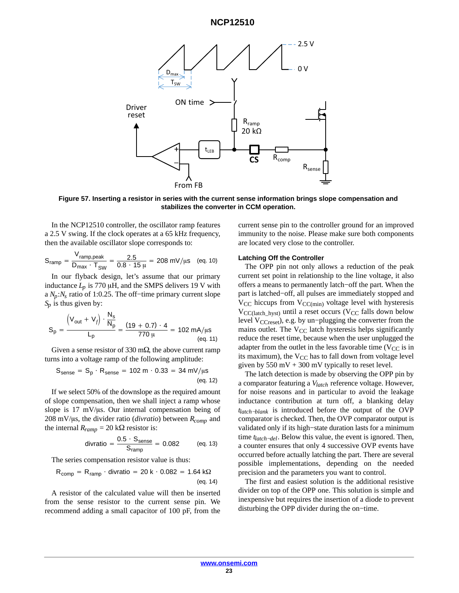<span id="page-22-0"></span>![](_page_22_Figure_1.jpeg)

**Figure 57. Inserting a resistor in series with the current sense information brings slope compensation and stabilizes the converter in CCM operation.**

In the NCP12510 controller, the oscillator ramp features a 2.5 V swing. If the clock operates at a 65 kHz frequency, then the available oscillator slope corresponds to:

$$
S_{ramp} = \frac{V_{ramp,peak}}{D_{max} \cdot T_{SW}} = \frac{2.5}{0.8 \cdot 15 \,\mu} = 208 \, \text{mV/}\mu\text{s} \quad \text{(eq. 10)}
$$

In our flyback design, let's assume that our primary inductance  $L_p$  is 770  $\mu$ H, and the SMPS delivers 19 V with a *Np*:*Ns* ratio of 1:0.25. The off−time primary current slope *Sp* is thus given by:

$$
S_p = \frac{\left(V_{out} + V_f\right) \cdot \frac{N_s}{N_p}}{L_p} = \frac{(19 + 0.7) \cdot 4}{770 \mu} = 102 \text{ mA/}\mu\text{s}
$$
\n(eq. 11)

Given a sense resistor of 330 m $\Omega$ , the above current ramp turns into a voltage ramp of the following amplitude:

$$
S_{\text{sense}} = S_p \cdot R_{\text{sense}} = 102 \text{ m} \cdot 0.33 = 34 \text{ mV/}\mu\text{s}
$$
\n
$$
\text{(eq. 12)}
$$

If we select 50% of the downslope as the required amount of slope compensation, then we shall inject a ramp whose slope is  $17 \text{ mV/}\mu\text{s}$ . Our internal compensation being of 208 mV/ $\mu$ s, the divider ratio (*divratio*) between  $R_{comp}$  and the internal  $R_{ramp} = 20 \text{ k}\Omega$  resistor is:

$$
divratio = \frac{0.5 \cdot S_{\text{sense}}}{S_{\text{ramp}}} = 0.082 \quad (eq. 13)
$$

The series compensation resistor value is thus:

$$
R_{\text{comp}} = R_{\text{ramp}} \cdot \text{divratio} = 20 \text{ k} \cdot 0.082 = 1.64 \text{ k}\Omega
$$
\n
$$
\text{(eq. 14)}
$$

A resistor of the calculated value will then be inserted from the sense resistor to the current sense pin. We recommend adding a small capacitor of 100 pF, from the current sense pin to the controller ground for an improved immunity to the noise. Please make sure both components are located very close to the controller.

#### **Latching Off the Controller**

The OPP pin not only allows a reduction of the peak current set point in relationship to the line voltage, it also offers a means to permanently latch−off the part. When the part is latched−off, all pulses are immediately stopped and  $V_{CC}$  hiccups from  $V_{CC(min)}$  voltage level with hysteresis  $V_{CC(latch\;hyst)}$  until a reset occurs (V<sub>CC</sub> falls down below level V<sub>CCreset</sub>), e.g. by un−plugging the converter from the mains outlet. The  $V_{CC}$  latch hysteresis helps significantly reduce the reset time, because when the user unplugged the adapter from the outlet in the less favorable time ( $V_{CC}$  is in its maximum), the  $V_{CC}$  has to fall down from voltage level given by  $550 \text{ mV} + 300 \text{ mV}$  typically to reset level.

The latch detection is made by observing the OPP pin by a comparator featuring a *Vlatch* reference voltage. However, for noise reasons and in particular to avoid the leakage inductance contribution at turn off, a blanking delay *tlatch−blank* is introduced before the output of the OVP comparator is checked. Then, the OVP comparator output is validated only if its high−state duration lasts for a minimum time *tlatch−del*. Below this value, the event is ignored. Then, a counter ensures that only 4 successive OVP events have occurred before actually latching the part. There are several possible implementations, depending on the needed precision and the parameters you want to control.

The first and easiest solution is the additional resistive divider on top of the OPP one. This solution is simple and inexpensive but requires the insertion of a diode to prevent disturbing the OPP divider during the on−time.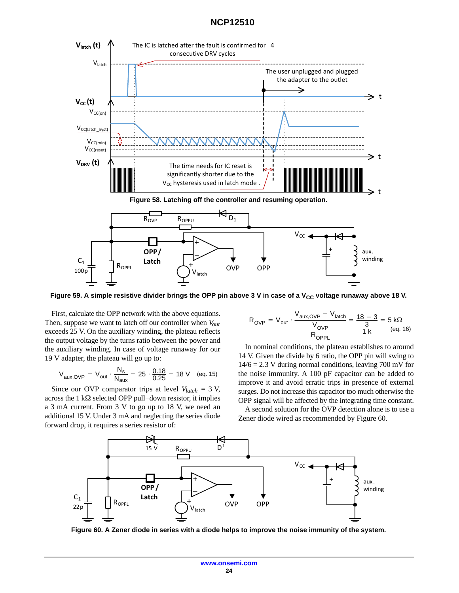<span id="page-23-0"></span>![](_page_23_Figure_1.jpeg)

Figure 59. A simple resistive divider brings the OPP pin above 3 V in case of a V<sub>CC</sub> voltage runaway above 18 V.

First, calculate the OPP network with the above equations. Then, suppose we want to latch off our controller when  $V_{out}$ exceeds 25 V. On the auxiliary winding, the plateau reflects the output voltage by the turns ratio between the power and the auxiliary winding. In case of voltage runaway for our 19 V adapter, the plateau will go up to:

$$
V_{\text{aux, OVP}} = V_{\text{out}} \cdot \frac{N_s}{N_{\text{aux}}} = 25 \cdot \frac{0.18}{0.25} = 18 \text{ V} \quad \text{(eq. 15)}
$$

Since our OVP comparator trips at level  $V_{latch} = 3$  V, across the 1 k $\Omega$  selected OPP pull–down resistor, it implies a 3 mA current. From 3 V to go up to 18 V, we need an additional 15 V. Under 3 mA and neglecting the series diode forward drop, it requires a series resistor of:

$$
R_{\text{OVP}} = V_{\text{out}} \cdot \frac{V_{\text{aux, OVP}} - V_{\text{latch}}}{V_{\text{OVP}}} = \frac{18 - 3}{\frac{3}{1 \text{ k}}} = 5 \text{ k}\Omega \tag{eq. 16}
$$

In nominal conditions, the plateau establishes to around 14 V. Given the divide by 6 ratio, the OPP pin will swing to  $14/6 = 2.3$  V during normal conditions, leaving 700 mV for the noise immunity. A 100 pF capacitor can be added to improve it and avoid erratic trips in presence of external surges. Do not increase this capacitor too much otherwise the OPP signal will be affected by the integrating time constant.

A second solution for the OVP detection alone is to use a Zener diode wired as recommended by Figure 60.

![](_page_23_Figure_9.jpeg)

**Figure 60. A Zener diode in series with a diode helps to improve the noise immunity of the system.**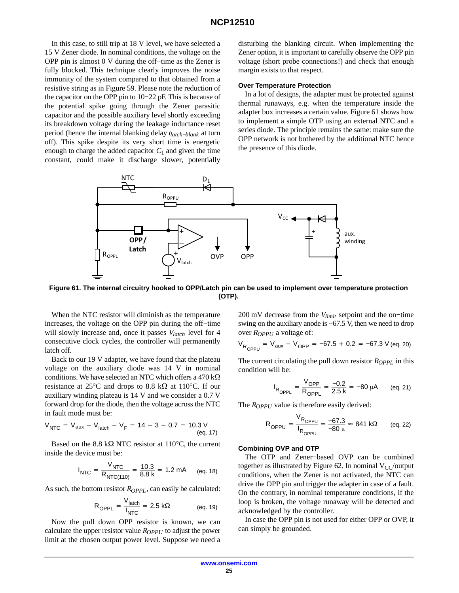In this case, to still trip at 18 V level, we have selected a 15 V Zener diode. In nominal conditions, the voltage on the OPP pin is almost 0 V during the off−time as the Zener is fully blocked. This technique clearly improves the noise immunity of the system compared to that obtained from a resistive string as in Figure [59](#page-23-0). Please note the reduction of the capacitor on the OPP pin to 10−22 pF. This is because of the potential spike going through the Zener parasitic capacitor and the possible auxiliary level shortly exceeding its breakdown voltage during the leakage inductance reset period (hence the internal blanking delay *tlatch−blank* at turn off). This spike despite its very short time is energetic enough to charge the added capacitor  $C_1$  and given the time constant, could make it discharge slower, potentially

disturbing the blanking circuit. When implementing the Zener option, it is important to carefully observe the OPP pin voltage (short probe connections!) and check that enough margin exists to that respect.

#### **Over Temperature Protection**

In a lot of designs, the adapter must be protected against thermal runaways, e.g. when the temperature inside the adapter box increases a certain value. Figure 61 shows how to implement a simple OTP using an external NTC and a series diode. The principle remains the same: make sure the OPP network is not bothered by the additional NTC hence the presence of this diode.

![](_page_24_Figure_5.jpeg)

**Figure 61. The internal circuitry hooked to OPP/Latch pin can be used to implement over temperature protection (OTP).**

When the NTC resistor will diminish as the temperature increases, the voltage on the OPP pin during the off−time will slowly increase and, once it passes *Vlatch* level for 4 consecutive clock cycles, the controller will permanently latch off.

Back to our 19 V adapter, we have found that the plateau voltage on the auxiliary diode was 14 V in nominal conditions. We have selected an NTC which offers a 470 k $\Omega$ resistance at 25 $\degree$ C and drops to 8.8 k $\Omega$  at 110 $\degree$ C. If our auxiliary winding plateau is 14 V and we consider a 0.7 V forward drop for the diode, then the voltage across the NTC in fault mode must be:

$$
V_{\text{NTC}} = V_{\text{aux}} - V_{\text{latch}} - V_{\text{F}} = 14 - 3 - 0.7 = 10.3 \text{ V}
$$
\n
$$
(eq. 17)
$$

Based on the 8.8 k $\Omega$  NTC resistor at 110°C, the current inside the device must be:

$$
I_{\text{NTC}} = \frac{V_{\text{NTC}}}{R_{\text{NTC}(110)}} = \frac{10.3}{8.8 \text{ k}} = 1.2 \text{ mA}
$$
 (eq. 18)

As such, the bottom resistor  $R_{OPPL}$ , can easily be calculated:

$$
R_{OPPL} = \frac{V_{\text{latch}}}{I_{\text{NTC}}} = 2.5 \text{ k}\Omega \qquad (eq. 19)
$$

Now the pull down OPP resistor is known, we can calculate the upper resistor value *R<sub>OPPU</sub>* to adjust the power limit at the chosen output power level. Suppose we need a 200 mV decrease from the *Vlimit* setpoint and the on−time swing on the auxiliary anode is −67.5 V, then we need to drop over  $R_{OPPU}$  a voltage of:

$$
V_{R_{OPPU}} = V_{aux} - V_{OPP} = -67.5 + 0.2 = -67.3 \text{ V (eq. 20)}
$$

The current circulating the pull down resistor  $R_{OPPL}$  in this condition will be:

$$
I_{R_{OPPL}} = \frac{V_{OPP}}{R_{OPPL}} = \frac{-0.2}{2.5 \text{ k}} = -80 \text{ }\mu\text{A} \qquad \text{(eq. 21)}
$$

The *R<sub>OPPU</sub>* value is therefore easily derived:

$$
R_{OPPU} = \frac{V_{R_{OPPU}}}{I_{R_{OPPU}}} = \frac{-67.3}{-80 \mu} \approx 841 \text{ k}\Omega \qquad \text{(eq. 22)}
$$

#### **Combining OVP and OTP**

The OTP and Zener−based OVP can be combined together as illustrated by Figure [62.](#page-25-0) In nominal  $V_{CC}/$ output conditions, when the Zener is not activated, the NTC can drive the OPP pin and trigger the adapter in case of a fault. On the contrary, in nominal temperature conditions, if the loop is broken, the voltage runaway will be detected and acknowledged by the controller.

In case the OPP pin is not used for either OPP or OVP, it can simply be grounded.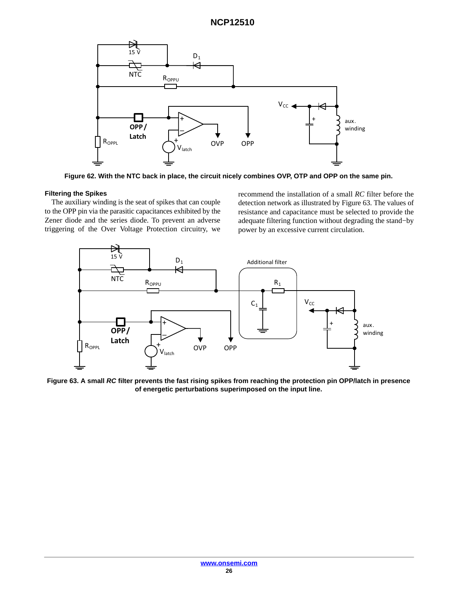<span id="page-25-0"></span>![](_page_25_Figure_1.jpeg)

**Figure 62. With the NTC back in place, the circuit nicely combines OVP, OTP and OPP on the same pin.**

### **Filtering the Spikes**

The auxiliary winding is the seat of spikes that can couple to the OPP pin via the parasitic capacitances exhibited by the Zener diode and the series diode. To prevent an adverse triggering of the Over Voltage Protection circuitry, we

recommend the installation of a small *RC* filter before the detection network as illustrated by Figure 63. The values of resistance and capacitance must be selected to provide the adequate filtering function without degrading the stand−by power by an excessive current circulation.

![](_page_25_Figure_6.jpeg)

**Figure 63. A small** *RC* **filter prevents the fast rising spikes from reaching the protection pin OPP/latch in presence of energetic perturbations superimposed on the input line.**